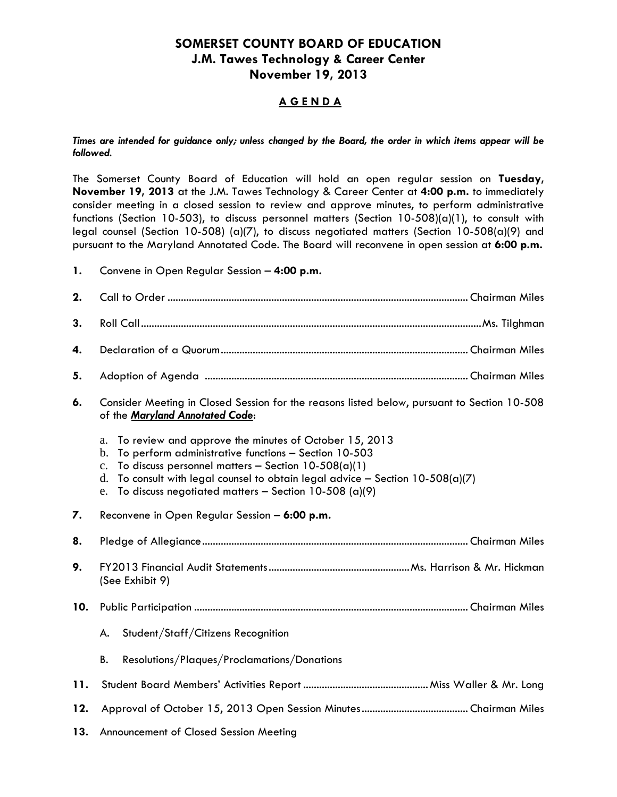# **SOMERSET COUNTY BOARD OF EDUCATION J.M. Tawes Technology & Career Center November 19, 2013**

# **A G E N D A**

*Times are intended for guidance only; unless changed by the Board, the order in which items appear will be followed.*

The Somerset County Board of Education will hold an open regular session on **Tuesday, November 19, 2013** at the J.M. Tawes Technology & Career Center at **4:00 p.m.** to immediately consider meeting in a closed session to review and approve minutes, to perform administrative functions (Section 10-503), to discuss personnel matters (Section 10-508)(a)(1), to consult with legal counsel (Section 10-508) (a)(7), to discuss negotiated matters (Section 10-508(a)(9) and pursuant to the Maryland Annotated Code. The Board will reconvene in open session at **6:00 p.m.**

**1.** Convene in Open Regular Session – **4:00 p.m.**

| 2.  |                                                                                                                                                                                                                                                                                                                                                             |
|-----|-------------------------------------------------------------------------------------------------------------------------------------------------------------------------------------------------------------------------------------------------------------------------------------------------------------------------------------------------------------|
| 3.  |                                                                                                                                                                                                                                                                                                                                                             |
| 4.  |                                                                                                                                                                                                                                                                                                                                                             |
| 5.  |                                                                                                                                                                                                                                                                                                                                                             |
| 6.  | Consider Meeting in Closed Session for the reasons listed below, pursuant to Section 10-508<br>of the Maryland Annotated Code:                                                                                                                                                                                                                              |
|     | To review and approve the minutes of October 15, 2013<br>a.<br>To perform administrative functions - Section 10-503<br>b.<br>To discuss personnel matters - Section $10-508(a)(1)$<br>$C_{\bullet}$<br>To consult with legal counsel to obtain legal advice - Section $10-508(a)(7)$<br>d.<br>To discuss negotiated matters - Section $10-508$ (a)(9)<br>e. |
| 7.  | Reconvene in Open Regular Session - 6:00 p.m.                                                                                                                                                                                                                                                                                                               |
| 8.  |                                                                                                                                                                                                                                                                                                                                                             |
| 9.  | (See Exhibit 9)                                                                                                                                                                                                                                                                                                                                             |
| 10. |                                                                                                                                                                                                                                                                                                                                                             |
|     | Student/Staff/Citizens Recognition<br>А.                                                                                                                                                                                                                                                                                                                    |
|     | Resolutions/Plaques/Proclamations/Donations<br>В.                                                                                                                                                                                                                                                                                                           |
| 11. |                                                                                                                                                                                                                                                                                                                                                             |
| 12. |                                                                                                                                                                                                                                                                                                                                                             |
| 13. | Announcement of Closed Session Meeting                                                                                                                                                                                                                                                                                                                      |